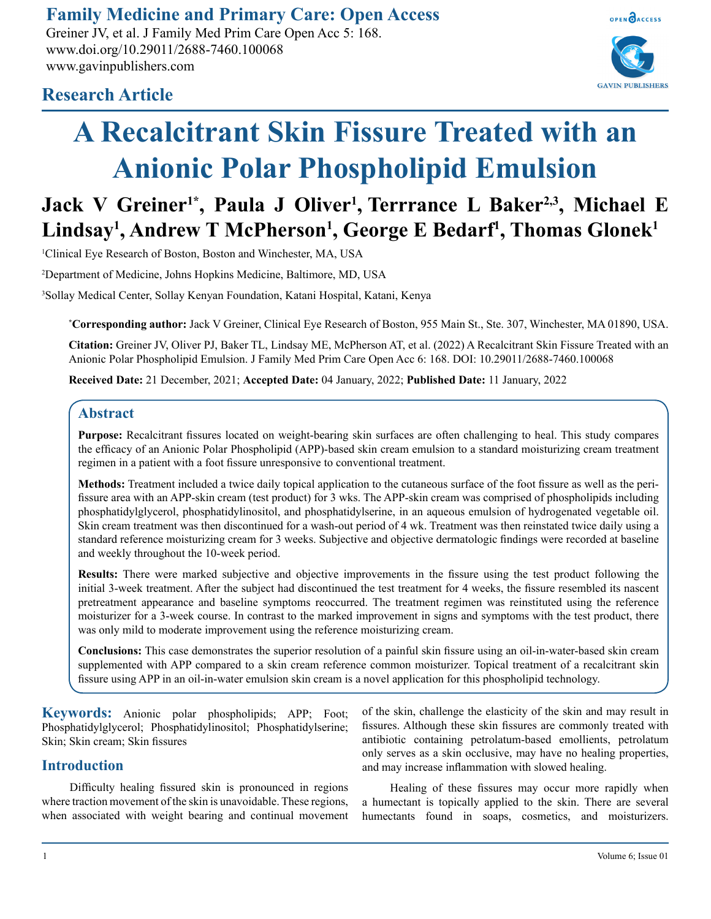**Family Medicine and Primary Care: Open Access**

Greiner JV, et al. J Family Med Prim Care Open Acc 5: 168. www.doi.org/10.29011/2688-7460.100068 www.gavinpublishers.com



# **Research Article**

# **A Recalcitrant Skin Fissure Treated with an Anionic Polar Phospholipid Emulsion**

# **Jack V Greiner1\*, Paula J Oliver1 , Terrrance L Baker2,3, Michael E Lindsay1 , Andrew T McPherson1 , George E Bedarf1 , Thomas Glonek1**

1 Clinical Eye Research of Boston, Boston and Winchester, MA, USA

2 Department of Medicine, Johns Hopkins Medicine, Baltimore, MD, USA

3 Sollay Medical Center, Sollay Kenyan Foundation, Katani Hospital, Katani, Kenya

**\* Corresponding author:** Jack V Greiner, Clinical Eye Research of Boston, 955 Main St., Ste. 307, Winchester, MA 01890, USA.

**Citation:** Greiner JV, Oliver PJ, Baker TL, Lindsay ME, McPherson AT, et al. (2022) A Recalcitrant Skin Fissure Treated with an Anionic Polar Phospholipid Emulsion. J Family Med Prim Care Open Acc 6: 168. DOI: 10.29011/2688-7460.100068

**Received Date:** 21 December, 2021; **Accepted Date:** 04 January, 2022; **Published Date:** 11 January, 2022

# **Abstract**

**Purpose:** Recalcitrant fissures located on weight-bearing skin surfaces are often challenging to heal. This study compares the efficacy of an Anionic Polar Phospholipid (APP)-based skin cream emulsion to a standard moisturizing cream treatment regimen in a patient with a foot fissure unresponsive to conventional treatment.

**Methods:** Treatment included a twice daily topical application to the cutaneous surface of the foot fissure as well as the perifissure area with an APP-skin cream (test product) for 3 wks. The APP-skin cream was comprised of phospholipids including phosphatidylglycerol, phosphatidylinositol, and phosphatidylserine, in an aqueous emulsion of hydrogenated vegetable oil. Skin cream treatment was then discontinued for a wash-out period of 4 wk. Treatment was then reinstated twice daily using a standard reference moisturizing cream for 3 weeks. Subjective and objective dermatologic findings were recorded at baseline and weekly throughout the 10-week period.

**Results:** There were marked subjective and objective improvements in the fissure using the test product following the initial 3-week treatment. After the subject had discontinued the test treatment for 4 weeks, the fissure resembled its nascent pretreatment appearance and baseline symptoms reoccurred. The treatment regimen was reinstituted using the reference moisturizer for a 3-week course. In contrast to the marked improvement in signs and symptoms with the test product, there was only mild to moderate improvement using the reference moisturizing cream.

**Conclusions:** This case demonstrates the superior resolution of a painful skin fissure using an oil-in-water-based skin cream supplemented with APP compared to a skin cream reference common moisturizer. Topical treatment of a recalcitrant skin fissure using APP in an oil-in-water emulsion skin cream is a novel application for this phospholipid technology.

**Keywords:** Anionic polar phospholipids; APP; Foot; Phosphatidylglycerol; Phosphatidylinositol; Phosphatidylserine; Skin; Skin cream; Skin fissures

# **Introduction**

Difficulty healing fissured skin is pronounced in regions where traction movement of the skin is unavoidable. These regions, when associated with weight bearing and continual movement of the skin, challenge the elasticity of the skin and may result in fissures. Although these skin fissures are commonly treated with antibiotic containing petrolatum-based emollients, petrolatum only serves as a skin occlusive, may have no healing properties, and may increase inflammation with slowed healing.

Healing of these fissures may occur more rapidly when a humectant is topically applied to the skin. There are several humectants found in soaps, cosmetics, and moisturizers.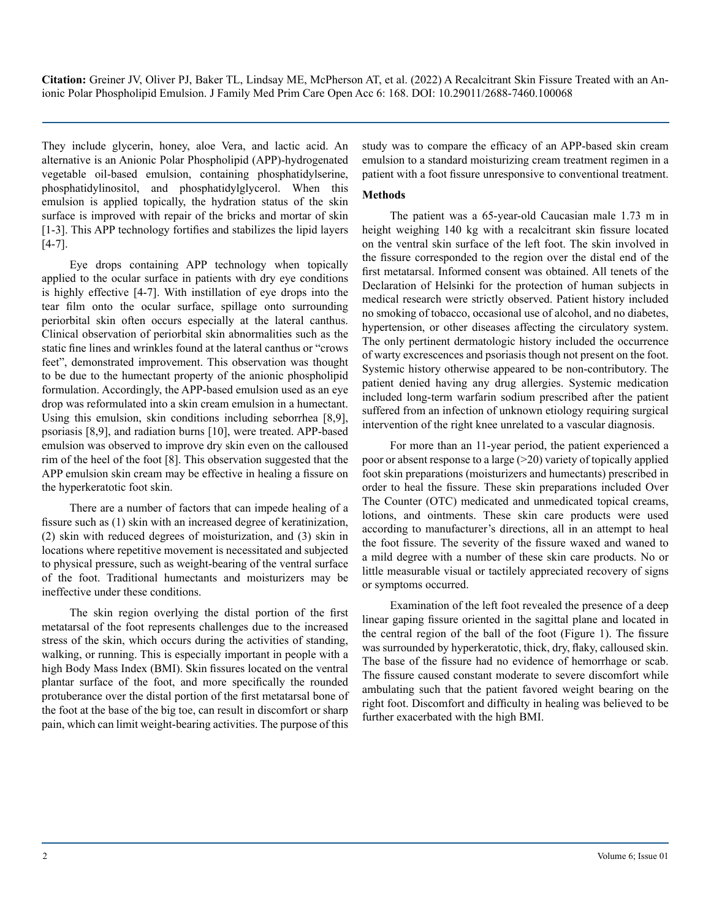They include glycerin, honey, aloe Vera, and lactic acid. An alternative is an Anionic Polar Phospholipid (APP)-hydrogenated vegetable oil-based emulsion, containing phosphatidylserine, phosphatidylinositol, and phosphatidylglycerol. When this emulsion is applied topically, the hydration status of the skin surface is improved with repair of the bricks and mortar of skin [1-3]. This APP technology fortifies and stabilizes the lipid layers [4-7].

Eye drops containing APP technology when topically applied to the ocular surface in patients with dry eye conditions is highly effective [4-7]. With instillation of eye drops into the tear film onto the ocular surface, spillage onto surrounding periorbital skin often occurs especially at the lateral canthus. Clinical observation of periorbital skin abnormalities such as the static fine lines and wrinkles found at the lateral canthus or "crows feet", demonstrated improvement. This observation was thought to be due to the humectant property of the anionic phospholipid formulation. Accordingly, the APP-based emulsion used as an eye drop was reformulated into a skin cream emulsion in a humectant. Using this emulsion, skin conditions including seborrhea [8,9], psoriasis [8,9], and radiation burns [10], were treated. APP-based emulsion was observed to improve dry skin even on the calloused rim of the heel of the foot [8]. This observation suggested that the APP emulsion skin cream may be effective in healing a fissure on the hyperkeratotic foot skin.

There are a number of factors that can impede healing of a fissure such as (1) skin with an increased degree of keratinization, (2) skin with reduced degrees of moisturization, and (3) skin in locations where repetitive movement is necessitated and subjected to physical pressure, such as weight-bearing of the ventral surface of the foot. Traditional humectants and moisturizers may be ineffective under these conditions.

The skin region overlying the distal portion of the first metatarsal of the foot represents challenges due to the increased stress of the skin, which occurs during the activities of standing, walking, or running. This is especially important in people with a high Body Mass Index (BMI). Skin fissures located on the ventral plantar surface of the foot, and more specifically the rounded protuberance over the distal portion of the first metatarsal bone of the foot at the base of the big toe, can result in discomfort or sharp pain, which can limit weight-bearing activities. The purpose of this

study was to compare the efficacy of an APP-based skin cream emulsion to a standard moisturizing cream treatment regimen in a patient with a foot fissure unresponsive to conventional treatment.

#### **Methods**

The patient was a 65-year-old Caucasian male 1.73 m in height weighing 140 kg with a recalcitrant skin fissure located on the ventral skin surface of the left foot. The skin involved in the fissure corresponded to the region over the distal end of the first metatarsal. Informed consent was obtained. All tenets of the Declaration of Helsinki for the protection of human subjects in medical research were strictly observed. Patient history included no smoking of tobacco, occasional use of alcohol, and no diabetes, hypertension, or other diseases affecting the circulatory system. The only pertinent dermatologic history included the occurrence of warty excrescences and psoriasis though not present on the foot. Systemic history otherwise appeared to be non-contributory. The patient denied having any drug allergies. Systemic medication included long-term warfarin sodium prescribed after the patient suffered from an infection of unknown etiology requiring surgical intervention of the right knee unrelated to a vascular diagnosis.

For more than an 11-year period, the patient experienced a poor or absent response to a large  $(>=20)$  variety of topically applied foot skin preparations (moisturizers and humectants) prescribed in order to heal the fissure. These skin preparations included Over The Counter (OTC) medicated and unmedicated topical creams, lotions, and ointments. These skin care products were used according to manufacturer's directions, all in an attempt to heal the foot fissure. The severity of the fissure waxed and waned to a mild degree with a number of these skin care products. No or little measurable visual or tactilely appreciated recovery of signs or symptoms occurred.

Examination of the left foot revealed the presence of a deep linear gaping fissure oriented in the sagittal plane and located in the central region of the ball of the foot (Figure 1). The fissure was surrounded by hyperkeratotic, thick, dry, flaky, calloused skin. The base of the fissure had no evidence of hemorrhage or scab. The fissure caused constant moderate to severe discomfort while ambulating such that the patient favored weight bearing on the right foot. Discomfort and difficulty in healing was believed to be further exacerbated with the high BMI.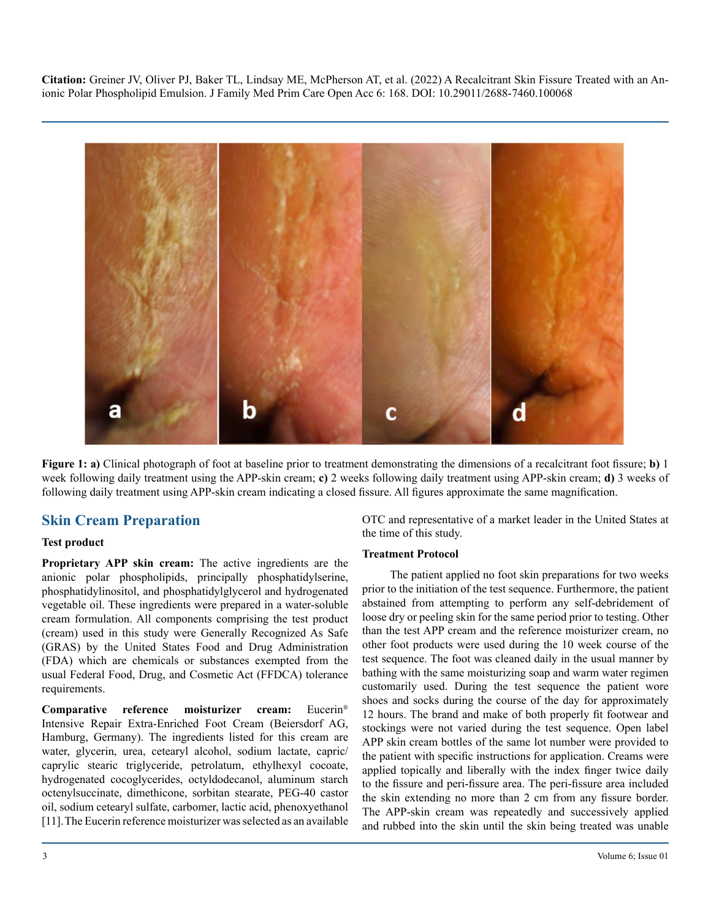

**Figure 1: a)** Clinical photograph of foot at baseline prior to treatment demonstrating the dimensions of a recalcitrant foot fissure; **b)** 1 week following daily treatment using the APP-skin cream; **c)** 2 weeks following daily treatment using APP-skin cream; **d)** 3 weeks of following daily treatment using APP-skin cream indicating a closed fissure. All figures approximate the same magnification.

# **Skin Cream Preparation**

#### **Test product**

**Proprietary APP skin cream:** The active ingredients are the anionic polar phospholipids, principally phosphatidylserine, phosphatidylinositol, and phosphatidylglycerol and hydrogenated vegetable oil. These ingredients were prepared in a water-soluble cream formulation. All components comprising the test product (cream) used in this study were Generally Recognized As Safe (GRAS) by the United States Food and Drug Administration (FDA) which are chemicals or substances exempted from the usual Federal Food, Drug, and Cosmetic Act (FFDCA) tolerance requirements.

**Comparative reference moisturizer cream:** Eucerin® Intensive Repair Extra-Enriched Foot Cream (Beiersdorf AG, Hamburg, Germany). The ingredients listed for this cream are water, glycerin, urea, cetearyl alcohol, sodium lactate, capric/ caprylic stearic triglyceride, petrolatum, ethylhexyl cocoate, hydrogenated cocoglycerides, octyldodecanol, aluminum starch octenylsuccinate, dimethicone, sorbitan stearate, PEG-40 castor oil, sodium cetearyl sulfate, carbomer, lactic acid, phenoxyethanol [11].The Eucerin reference moisturizer was selected as an available OTC and representative of a market leader in the United States at the time of this study.

#### **Treatment Protocol**

The patient applied no foot skin preparations for two weeks prior to the initiation of the test sequence. Furthermore, the patient abstained from attempting to perform any self-debridement of loose dry or peeling skin for the same period prior to testing. Other than the test APP cream and the reference moisturizer cream, no other foot products were used during the 10 week course of the test sequence. The foot was cleaned daily in the usual manner by bathing with the same moisturizing soap and warm water regimen customarily used. During the test sequence the patient wore shoes and socks during the course of the day for approximately 12 hours. The brand and make of both properly fit footwear and stockings were not varied during the test sequence. Open label APP skin cream bottles of the same lot number were provided to the patient with specific instructions for application. Creams were applied topically and liberally with the index finger twice daily to the fissure and peri-fissure area. The peri-fissure area included the skin extending no more than 2 cm from any fissure border. The APP-skin cream was repeatedly and successively applied and rubbed into the skin until the skin being treated was unable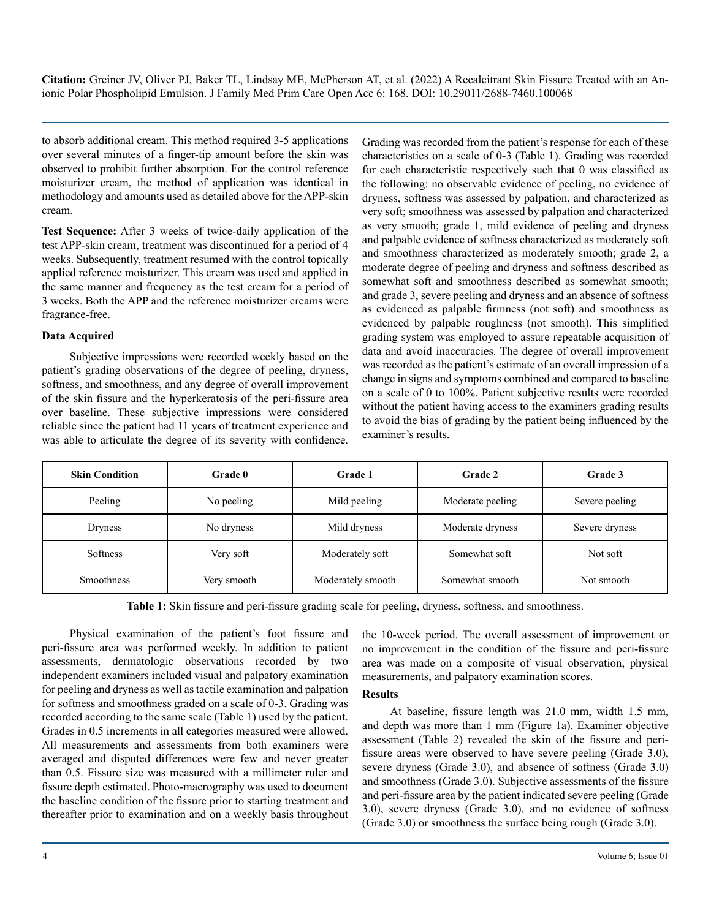to absorb additional cream. This method required 3-5 applications over several minutes of a finger-tip amount before the skin was observed to prohibit further absorption. For the control reference moisturizer cream, the method of application was identical in methodology and amounts used as detailed above for the APP-skin cream.

**Test Sequence:** After 3 weeks of twice-daily application of the test APP-skin cream, treatment was discontinued for a period of 4 weeks. Subsequently, treatment resumed with the control topically applied reference moisturizer. This cream was used and applied in the same manner and frequency as the test cream for a period of 3 weeks. Both the APP and the reference moisturizer creams were fragrance-free.

#### **Data Acquired**

Subjective impressions were recorded weekly based on the patient's grading observations of the degree of peeling, dryness, softness, and smoothness, and any degree of overall improvement of the skin fissure and the hyperkeratosis of the peri-fissure area over baseline. These subjective impressions were considered reliable since the patient had 11 years of treatment experience and was able to articulate the degree of its severity with confidence. Grading was recorded from the patient's response for each of these characteristics on a scale of 0-3 (Table 1). Grading was recorded for each characteristic respectively such that 0 was classified as the following: no observable evidence of peeling, no evidence of dryness, softness was assessed by palpation, and characterized as very soft; smoothness was assessed by palpation and characterized as very smooth; grade 1, mild evidence of peeling and dryness and palpable evidence of softness characterized as moderately soft and smoothness characterized as moderately smooth; grade 2, a moderate degree of peeling and dryness and softness described as somewhat soft and smoothness described as somewhat smooth; and grade 3, severe peeling and dryness and an absence of softness as evidenced as palpable firmness (not soft) and smoothness as evidenced by palpable roughness (not smooth). This simplified grading system was employed to assure repeatable acquisition of data and avoid inaccuracies. The degree of overall improvement was recorded as the patient's estimate of an overall impression of a change in signs and symptoms combined and compared to baseline on a scale of 0 to 100%. Patient subjective results were recorded without the patient having access to the examiners grading results to avoid the bias of grading by the patient being influenced by the examiner's results.

| <b>Skin Condition</b> | <b>Grade</b> 0 | Grade 1           | Grade 2          | <b>Grade 3</b> |  |  |
|-----------------------|----------------|-------------------|------------------|----------------|--|--|
| Peeling               | No peeling     | Mild peeling      | Moderate peeling | Severe peeling |  |  |
| Dryness               | No dryness     | Mild dryness      | Moderate dryness | Severe dryness |  |  |
| Softness              | Very soft      | Moderately soft   | Somewhat soft    | Not soft       |  |  |
| <b>Smoothness</b>     | Very smooth    | Moderately smooth | Somewhat smooth  | Not smooth     |  |  |

**Table 1:** Skin fissure and peri-fissure grading scale for peeling, dryness, softness, and smoothness.

Physical examination of the patient's foot fissure and peri-fissure area was performed weekly. In addition to patient assessments, dermatologic observations recorded by two independent examiners included visual and palpatory examination for peeling and dryness as well as tactile examination and palpation for softness and smoothness graded on a scale of 0-3. Grading was recorded according to the same scale (Table 1) used by the patient. Grades in 0.5 increments in all categories measured were allowed. All measurements and assessments from both examiners were averaged and disputed differences were few and never greater than 0.5. Fissure size was measured with a millimeter ruler and fissure depth estimated. Photo-macrography was used to document the baseline condition of the fissure prior to starting treatment and thereafter prior to examination and on a weekly basis throughout

the 10-week period. The overall assessment of improvement or no improvement in the condition of the fissure and peri-fissure area was made on a composite of visual observation, physical measurements, and palpatory examination scores.

#### **Results**

At baseline, fissure length was 21.0 mm, width 1.5 mm, and depth was more than 1 mm (Figure 1a). Examiner objective assessment (Table 2) revealed the skin of the fissure and perifissure areas were observed to have severe peeling (Grade 3.0), severe dryness (Grade 3.0), and absence of softness (Grade 3.0) and smoothness (Grade 3.0). Subjective assessments of the fissure and peri-fissure area by the patient indicated severe peeling (Grade 3.0), severe dryness (Grade 3.0), and no evidence of softness (Grade 3.0) or smoothness the surface being rough (Grade 3.0).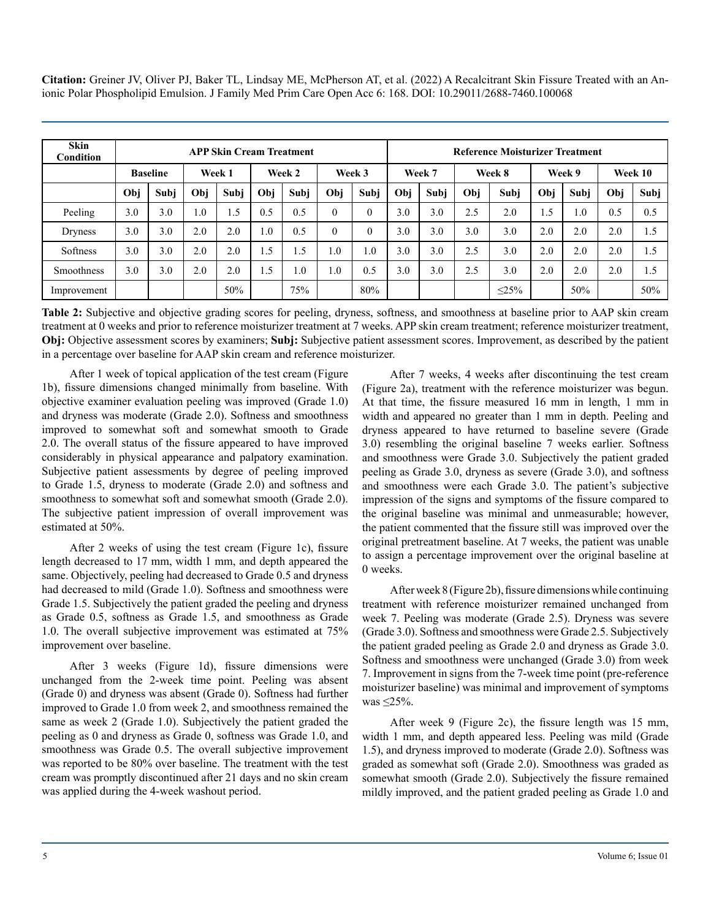| <b>Skin</b><br>Condition | <b>APP Skin Cream Treatment</b> |      |        |      |        |      |                  | <b>Reference Moisturizer Treatment</b> |     |      |        |            |        |      |         |      |
|--------------------------|---------------------------------|------|--------|------|--------|------|------------------|----------------------------------------|-----|------|--------|------------|--------|------|---------|------|
|                          | <b>Baseline</b>                 |      | Week 1 |      | Week 2 |      |                  | Week 3<br>Week 7                       |     |      | Week 8 |            | Week 9 |      | Week 10 |      |
|                          | Obi                             | Subi | Obi    | Subi | Obi    | Subi | Obi              | Subi                                   | Obi | Subi | Obi    | Subi       | Obi    | Subi | Obi     | Subi |
| Peeling                  | 3.0                             | 3.0  | 1.0    | 1.5  | 0.5    | 0.5  | $\Omega$         | $\theta$                               | 3.0 | 3.0  | 2.5    | 2.0        | 1.5    | 1.0  | 0.5     | 0.5  |
| Dryness                  | 3.0                             | 3.0  | 2.0    | 2.0  | 0.1    | 0.5  | $\Omega$         | 0                                      | 3.0 | 3.0  | 3.0    | 3.0        | 2.0    | 2.0  | 2.0     | 1.5  |
| Softness                 | 3.0                             | 3.0  | 2.0    | 2.0  | 1.5    | 1.5  | 1.0 <sub>1</sub> | 0.1                                    | 3.0 | 3.0  | 2.5    | 3.0        | 2.0    | 2.0  | 2.0     | 1.5  |
| <b>Smoothness</b>        | 3.0                             | 3.0  | 2.0    | 2.0  | 1.5    | 1.0  | 1.0              | 0.5                                    | 3.0 | 3.0  | 2.5    | 3.0        | 2.0    | 2.0  | 2.0     | 1.5  |
| Improvement              |                                 |      |        | 50%  |        | 75%  |                  | 80%                                    |     |      |        | $\leq$ 25% |        | 50%  |         | 50%  |

**Table 2:** Subjective and objective grading scores for peeling, dryness, softness, and smoothness at baseline prior to AAP skin cream treatment at 0 weeks and prior to reference moisturizer treatment at 7 weeks. APP skin cream treatment; reference moisturizer treatment, **Obj:** Objective assessment scores by examiners; **Subj:** Subjective patient assessment scores. Improvement, as described by the patient in a percentage over baseline for AAP skin cream and reference moisturizer.

After 1 week of topical application of the test cream (Figure 1b), fissure dimensions changed minimally from baseline. With objective examiner evaluation peeling was improved (Grade 1.0) and dryness was moderate (Grade 2.0). Softness and smoothness improved to somewhat soft and somewhat smooth to Grade 2.0. The overall status of the fissure appeared to have improved considerably in physical appearance and palpatory examination. Subjective patient assessments by degree of peeling improved to Grade 1.5, dryness to moderate (Grade 2.0) and softness and smoothness to somewhat soft and somewhat smooth (Grade 2.0). The subjective patient impression of overall improvement was estimated at 50%.

After 2 weeks of using the test cream (Figure 1c), fissure length decreased to 17 mm, width 1 mm, and depth appeared the same. Objectively, peeling had decreased to Grade 0.5 and dryness had decreased to mild (Grade 1.0). Softness and smoothness were Grade 1.5. Subjectively the patient graded the peeling and dryness as Grade 0.5, softness as Grade 1.5, and smoothness as Grade 1.0. The overall subjective improvement was estimated at 75% improvement over baseline.

After 3 weeks (Figure 1d), fissure dimensions were unchanged from the 2-week time point. Peeling was absent (Grade 0) and dryness was absent (Grade 0). Softness had further improved to Grade 1.0 from week 2, and smoothness remained the same as week 2 (Grade 1.0). Subjectively the patient graded the peeling as 0 and dryness as Grade 0, softness was Grade 1.0, and smoothness was Grade 0.5. The overall subjective improvement was reported to be 80% over baseline. The treatment with the test cream was promptly discontinued after 21 days and no skin cream was applied during the 4-week washout period.

After 7 weeks, 4 weeks after discontinuing the test cream (Figure 2a), treatment with the reference moisturizer was begun. At that time, the fissure measured 16 mm in length, 1 mm in width and appeared no greater than 1 mm in depth. Peeling and dryness appeared to have returned to baseline severe (Grade 3.0) resembling the original baseline 7 weeks earlier. Softness and smoothness were Grade 3.0. Subjectively the patient graded peeling as Grade 3.0, dryness as severe (Grade 3.0), and softness and smoothness were each Grade 3.0. The patient's subjective impression of the signs and symptoms of the fissure compared to the original baseline was minimal and unmeasurable; however, the patient commented that the fissure still was improved over the original pretreatment baseline. At 7 weeks, the patient was unable to assign a percentage improvement over the original baseline at 0 weeks.

After week 8 (Figure 2b), fissure dimensions while continuing treatment with reference moisturizer remained unchanged from week 7. Peeling was moderate (Grade 2.5). Dryness was severe (Grade 3.0). Softness and smoothness were Grade 2.5. Subjectively the patient graded peeling as Grade 2.0 and dryness as Grade 3.0. Softness and smoothness were unchanged (Grade 3.0) from week 7. Improvement in signs from the 7-week time point (pre-reference moisturizer baseline) was minimal and improvement of symptoms was ≤25%.

After week 9 (Figure 2c), the fissure length was 15 mm, width 1 mm, and depth appeared less. Peeling was mild (Grade 1.5), and dryness improved to moderate (Grade 2.0). Softness was graded as somewhat soft (Grade 2.0). Smoothness was graded as somewhat smooth (Grade 2.0). Subjectively the fissure remained mildly improved, and the patient graded peeling as Grade 1.0 and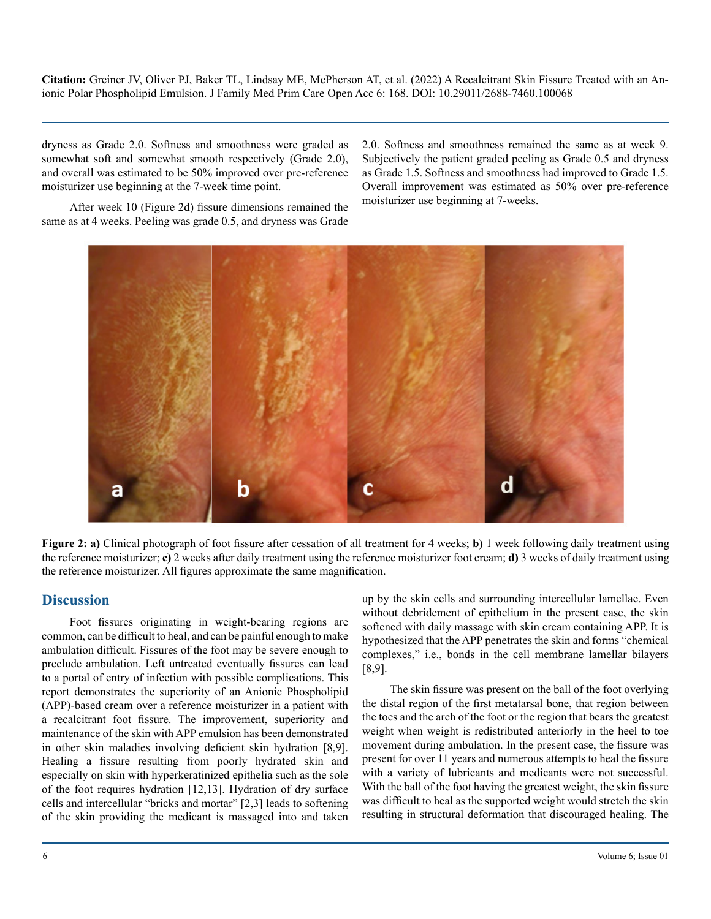dryness as Grade 2.0. Softness and smoothness were graded as somewhat soft and somewhat smooth respectively (Grade 2.0), and overall was estimated to be 50% improved over pre-reference moisturizer use beginning at the 7-week time point.

2.0. Softness and smoothness remained the same as at week 9. Subjectively the patient graded peeling as Grade 0.5 and dryness as Grade 1.5. Softness and smoothness had improved to Grade 1.5. Overall improvement was estimated as 50% over pre-reference moisturizer use beginning at 7-weeks.

After week 10 (Figure 2d) fissure dimensions remained the same as at 4 weeks. Peeling was grade 0.5, and dryness was Grade



**Figure 2: a)** Clinical photograph of foot fissure after cessation of all treatment for 4 weeks; **b)** 1 week following daily treatment using the reference moisturizer; **c)** 2 weeks after daily treatment using the reference moisturizer foot cream; **d)** 3 weeks of daily treatment using the reference moisturizer. All figures approximate the same magnification.

# **Discussion**

Foot fissures originating in weight-bearing regions are common, can be difficult to heal, and can be painful enough to make ambulation difficult. Fissures of the foot may be severe enough to preclude ambulation. Left untreated eventually fissures can lead to a portal of entry of infection with possible complications. This report demonstrates the superiority of an Anionic Phospholipid (APP)-based cream over a reference moisturizer in a patient with a recalcitrant foot fissure. The improvement, superiority and maintenance of the skin with APP emulsion has been demonstrated in other skin maladies involving deficient skin hydration [8,9]. Healing a fissure resulting from poorly hydrated skin and especially on skin with hyperkeratinized epithelia such as the sole of the foot requires hydration [12,13]. Hydration of dry surface cells and intercellular "bricks and mortar" [2,3] leads to softening of the skin providing the medicant is massaged into and taken up by the skin cells and surrounding intercellular lamellae. Even without debridement of epithelium in the present case, the skin softened with daily massage with skin cream containing APP. It is hypothesized that the APP penetrates the skin and forms "chemical complexes," i.e., bonds in the cell membrane lamellar bilayers [8,9].

The skin fissure was present on the ball of the foot overlying the distal region of the first metatarsal bone, that region between the toes and the arch of the foot or the region that bears the greatest weight when weight is redistributed anteriorly in the heel to toe movement during ambulation. In the present case, the fissure was present for over 11 years and numerous attempts to heal the fissure with a variety of lubricants and medicants were not successful. With the ball of the foot having the greatest weight, the skin fissure was difficult to heal as the supported weight would stretch the skin resulting in structural deformation that discouraged healing. The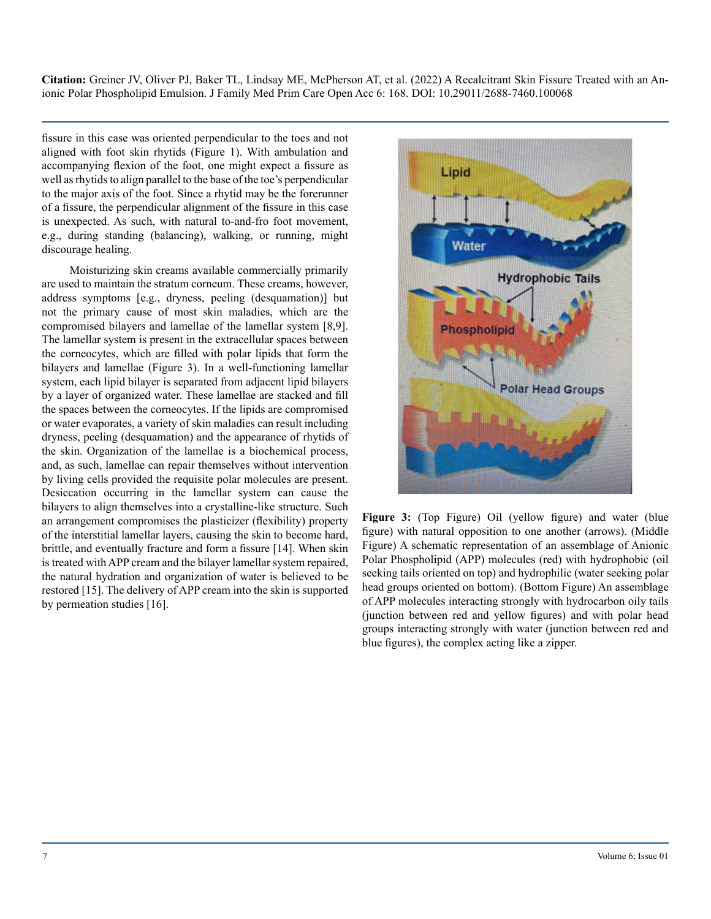fissure in this case was oriented perpendicular to the toes and not aligned with foot skin rhytids (Figure 1). With ambulation and accompanying flexion of the foot, one might expect a fissure as well as rhytids to align parallel to the base of the toe's perpendicular to the major axis of the foot. Since a rhytid may be the forerunner of a fissure, the perpendicular alignment of the fissure in this case is unexpected. As such, with natural to-and-fro foot movement, e.g., during standing (balancing), walking, or running, might discourage healing.

Moisturizing skin creams available commercially primarily are used to maintain the stratum corneum. These creams, however, address symptoms [e.g., dryness, peeling (desquamation)] but not the primary cause of most skin maladies, which are the compromised bilayers and lamellae of the lamellar system [8,9]. The lamellar system is present in the extracellular spaces between the corneocytes, which are filled with polar lipids that form the bilayers and lamellae (Figure 3). In a well-functioning lamellar system, each lipid bilayer is separated from adjacent lipid bilayers by a layer of organized water. These lamellae are stacked and fill the spaces between the corneocytes. If the lipids are compromised or water evaporates, a variety of skin maladies can result including dryness, peeling (desquamation) and the appearance of rhytids of the skin. Organization of the lamellae is a biochemical process, and, as such, lamellae can repair themselves without intervention by living cells provided the requisite polar molecules are present. Desiccation occurring in the lamellar system can cause the bilayers to align themselves into a crystalline-like structure. Such an arrangement compromises the plasticizer (flexibility) property of the interstitial lamellar layers, causing the skin to become hard, brittle, and eventually fracture and form a fissure [14]. When skin is treated with APP cream and the bilayer lamellar system repaired, the natural hydration and organization of water is believed to be restored [15]. The delivery of APP cream into the skin is supported by permeation studies [16].



**Figure 3:** (Top Figure) Oil (yellow figure) and water (blue figure) with natural opposition to one another (arrows). (Middle Figure) A schematic representation of an assemblage of Anionic Polar Phospholipid (APP) molecules (red) with hydrophobic (oil seeking tails oriented on top) and hydrophilic (water seeking polar head groups oriented on bottom). (Bottom Figure) An assemblage of APP molecules interacting strongly with hydrocarbon oily tails (junction between red and yellow figures) and with polar head groups interacting strongly with water (junction between red and blue figures), the complex acting like a zipper.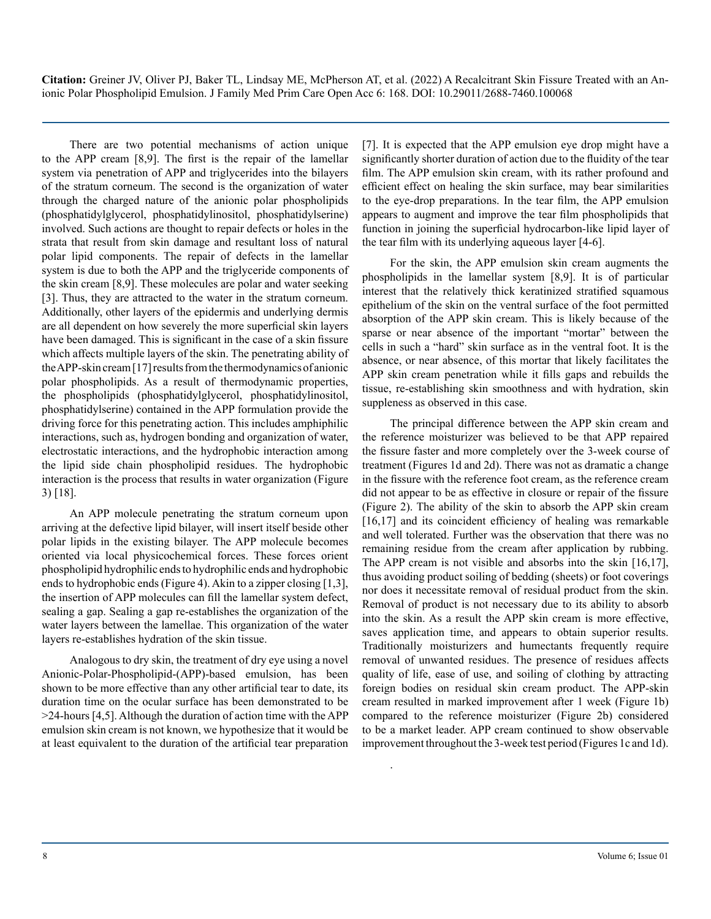There are two potential mechanisms of action unique to the APP cream [8,9]. The first is the repair of the lamellar system via penetration of APP and triglycerides into the bilayers of the stratum corneum. The second is the organization of water through the charged nature of the anionic polar phospholipids (phosphatidylglycerol, phosphatidylinositol, phosphatidylserine) involved. Such actions are thought to repair defects or holes in the strata that result from skin damage and resultant loss of natural polar lipid components. The repair of defects in the lamellar system is due to both the APP and the triglyceride components of the skin cream [8,9]. These molecules are polar and water seeking [3]. Thus, they are attracted to the water in the stratum corneum. Additionally, other layers of the epidermis and underlying dermis are all dependent on how severely the more superficial skin layers have been damaged. This is significant in the case of a skin fissure which affects multiple layers of the skin. The penetrating ability of the APP-skin cream [17] results from the thermodynamics of anionic polar phospholipids. As a result of thermodynamic properties, the phospholipids (phosphatidylglycerol, phosphatidylinositol, phosphatidylserine) contained in the APP formulation provide the driving force for this penetrating action. This includes amphiphilic interactions, such as, hydrogen bonding and organization of water, electrostatic interactions, and the hydrophobic interaction among the lipid side chain phospholipid residues. The hydrophobic interaction is the process that results in water organization (Figure 3) [18].

An APP molecule penetrating the stratum corneum upon arriving at the defective lipid bilayer, will insert itself beside other polar lipids in the existing bilayer. The APP molecule becomes oriented via local physicochemical forces. These forces orient phospholipid hydrophilic ends to hydrophilic ends and hydrophobic ends to hydrophobic ends (Figure 4). Akin to a zipper closing [1,3], the insertion of APP molecules can fill the lamellar system defect, sealing a gap. Sealing a gap re-establishes the organization of the water layers between the lamellae. This organization of the water layers re-establishes hydration of the skin tissue.

Analogous to dry skin, the treatment of dry eye using a novel Anionic-Polar-Phospholipid-(APP)-based emulsion, has been shown to be more effective than any other artificial tear to date, its duration time on the ocular surface has been demonstrated to be >24-hours [4,5]. Although the duration of action time with the APP emulsion skin cream is not known, we hypothesize that it would be at least equivalent to the duration of the artificial tear preparation [7]. It is expected that the APP emulsion eye drop might have a significantly shorter duration of action due to the fluidity of the tear film. The APP emulsion skin cream, with its rather profound and efficient effect on healing the skin surface, may bear similarities to the eye-drop preparations. In the tear film, the APP emulsion appears to augment and improve the tear film phospholipids that function in joining the superficial hydrocarbon-like lipid layer of the tear film with its underlying aqueous layer [4-6].

For the skin, the APP emulsion skin cream augments the phospholipids in the lamellar system [8,9]. It is of particular interest that the relatively thick keratinized stratified squamous epithelium of the skin on the ventral surface of the foot permitted absorption of the APP skin cream. This is likely because of the sparse or near absence of the important "mortar" between the cells in such a "hard" skin surface as in the ventral foot. It is the absence, or near absence, of this mortar that likely facilitates the APP skin cream penetration while it fills gaps and rebuilds the tissue, re-establishing skin smoothness and with hydration, skin suppleness as observed in this case.

The principal difference between the APP skin cream and the reference moisturizer was believed to be that APP repaired the fissure faster and more completely over the 3-week course of treatment (Figures 1d and 2d). There was not as dramatic a change in the fissure with the reference foot cream, as the reference cream did not appear to be as effective in closure or repair of the fissure (Figure 2). The ability of the skin to absorb the APP skin cream [16,17] and its coincident efficiency of healing was remarkable and well tolerated. Further was the observation that there was no remaining residue from the cream after application by rubbing. The APP cream is not visible and absorbs into the skin [16,17], thus avoiding product soiling of bedding (sheets) or foot coverings nor does it necessitate removal of residual product from the skin. Removal of product is not necessary due to its ability to absorb into the skin. As a result the APP skin cream is more effective, saves application time, and appears to obtain superior results. Traditionally moisturizers and humectants frequently require removal of unwanted residues. The presence of residues affects quality of life, ease of use, and soiling of clothing by attracting foreign bodies on residual skin cream product. The APP-skin cream resulted in marked improvement after 1 week (Figure 1b) compared to the reference moisturizer (Figure 2b) considered to be a market leader. APP cream continued to show observable improvement throughout the 3-week test period (Figures 1c and 1d).

.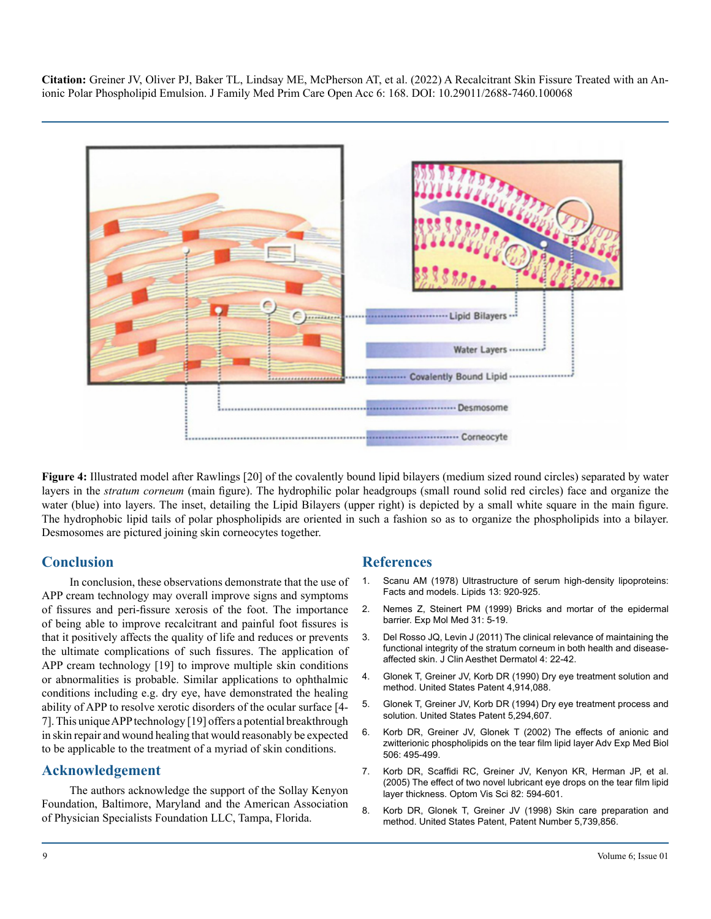

**Figure 4:** Illustrated model after Rawlings [20] of the covalently bound lipid bilayers (medium sized round circles) separated by water layers in the *stratum corneum* (main figure). The hydrophilic polar headgroups (small round solid red circles) face and organize the water (blue) into layers. The inset, detailing the Lipid Bilayers (upper right) is depicted by a small white square in the main figure. The hydrophobic lipid tails of polar phospholipids are oriented in such a fashion so as to organize the phospholipids into a bilayer. Desmosomes are pictured joining skin corneocytes together.

# **Conclusion**

In conclusion, these observations demonstrate that the use of APP cream technology may overall improve signs and symptoms of fissures and peri-fissure xerosis of the foot. The importance of being able to improve recalcitrant and painful foot fissures is that it positively affects the quality of life and reduces or prevents the ultimate complications of such fissures. The application of APP cream technology [19] to improve multiple skin conditions or abnormalities is probable. Similar applications to ophthalmic conditions including e.g. dry eye, have demonstrated the healing ability of APP to resolve xerotic disorders of the ocular surface [4- 7]. This unique APP technology [19] offers a potential breakthrough in skin repair and wound healing that would reasonably be expected to be applicable to the treatment of a myriad of skin conditions.

# **Acknowledgement**

The authors acknowledge the support of the Sollay Kenyon Foundation, Baltimore, Maryland and the American Association of Physician Specialists Foundation LLC, Tampa, Florida.

#### **References**

- 1. [Scanu AM \(1978\) Ultrastructure of serum high-density lipoproteins:](https://pubmed.ncbi.nlm.nih.gov/220487/)  [Facts and models. Lipids 13: 920-925.](https://pubmed.ncbi.nlm.nih.gov/220487/)
- 2. [Nemes Z, Steinert PM \(1999\) Bricks and mortar of the epidermal](https://pubmed.ncbi.nlm.nih.gov/10231017/)  [barrier. Exp Mol Med 31: 5-19.](https://pubmed.ncbi.nlm.nih.gov/10231017/)
- 3. [Del Rosso JQ, Levin J \(2011\) The clinical relevance of maintaining the](https://www.ncbi.nlm.nih.gov/pmc/articles/PMC3175800/)  [functional integrity of the stratum corneum in both health and disease](https://www.ncbi.nlm.nih.gov/pmc/articles/PMC3175800/)[affected skin. J Clin Aesthet Dermatol 4: 22-42.](https://www.ncbi.nlm.nih.gov/pmc/articles/PMC3175800/)
- 4. [Glonek T, Greiner JV, Korb DR \(1990\) Dry eye treatment solution and](https://patents.google.com/patent/US4914088A/en)  [method. United States Patent 4,914,088.](https://patents.google.com/patent/US4914088A/en)
- 5. [Glonek T, Greiner JV, Korb DR \(1994\) Dry eye treatment process and](https://patents.google.com/patent/US5278151A/en)  [solution. United States Patent 5,294,607.](https://patents.google.com/patent/US5278151A/en)
- 6. [Korb DR, Greiner JV, Glonek T \(2002\) The effects of anionic and](https://pubmed.ncbi.nlm.nih.gov/12613951/)  [zwitterionic phospholipids on the tear film lipid layer Adv Exp Med Biol](https://pubmed.ncbi.nlm.nih.gov/12613951/)  [506: 495-499.](https://pubmed.ncbi.nlm.nih.gov/12613951/)
- 7. [Korb DR, Scaffidi RC, Greiner JV, Kenyon KR, Herman JP, et al.](https://pubmed.ncbi.nlm.nih.gov/16044071/)  [\(2005\) The effect of two novel lubricant eye drops on the tear film lipid](https://pubmed.ncbi.nlm.nih.gov/16044071/)  [layer thickness. Optom Vis Sci 82: 594-601.](https://pubmed.ncbi.nlm.nih.gov/16044071/)
- 8. [Korb DR, Glonek T, Greiner JV \(1998\) Skin care preparation and](https://patents.justia.com/patent/5738856)  [method. United States Patent, Patent Number 5,739,856.](https://patents.justia.com/patent/5738856)